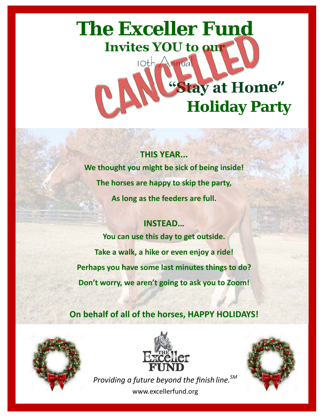

**THIS YEAR... We thought you might be sick of being inside! The horses are happy to skip the party, As long as the feeders are full.**

**INSTEAD… You can use this day to get outside. Take a walk, a hike or even enjoy a ride! Perhaps you have some last minutes things to do? Don't worry, we aren't going to ask you to Zoom!**

**On behalf of all of the horses, HAPPY HOLIDAYS!**





*Providing a future beyond the finish line.SM*  www.excellerfund.org